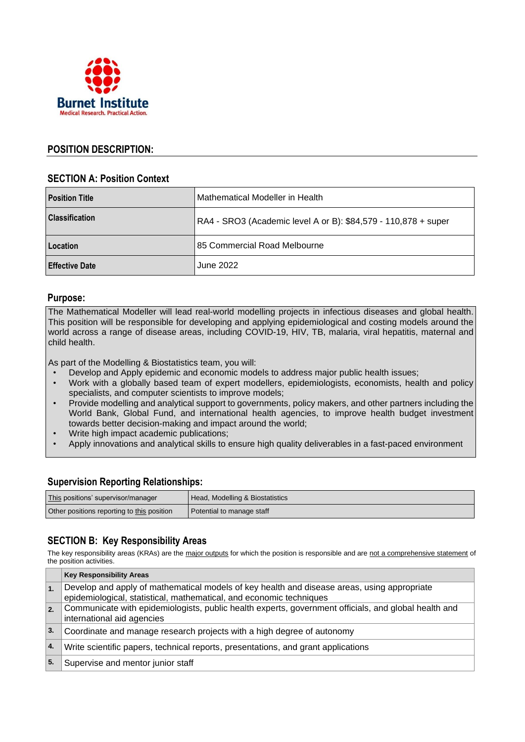

### **POSITION DESCRIPTION:**

### **SECTION A: Position Context**

| <b>Position Title</b> | Mathematical Modeller in Health                                |
|-----------------------|----------------------------------------------------------------|
| Classification        | RA4 - SRO3 (Academic level A or B): \$84,579 - 110,878 + super |
| l Location            | 85 Commercial Road Melbourne                                   |
| l Effective Date      | June 2022                                                      |

#### **Purpose:**

The Mathematical Modeller will lead real-world modelling projects in infectious diseases and global health. This position will be responsible for developing and applying epidemiological and costing models around the world across a range of disease areas, including COVID-19, HIV, TB, malaria, viral hepatitis, maternal and child health.

As part of the Modelling & Biostatistics team, you will:

- Develop and Apply epidemic and economic models to address major public health issues;
- Work with a globally based team of expert modellers, epidemiologists, economists, health and policy specialists, and computer scientists to improve models;
- Provide modelling and analytical support to governments, policy makers, and other partners including the World Bank, Global Fund, and international health agencies, to improve health budget investment towards better decision-making and impact around the world;
- Write high impact academic publications;
- Apply innovations and analytical skills to ensure high quality deliverables in a fast-paced environment

### **Supervision Reporting Relationships:**

| This positions' supervisor/manager         | Head, Modelling & Biostatistics |
|--------------------------------------------|---------------------------------|
| Other positions reporting to this position | Potential to manage staff       |

### **SECTION B: Key Responsibility Areas**

The key responsibility areas (KRAs) are the major outputs for which the position is responsible and are not a comprehensive statement of the position activities.

|                  | <b>Key Responsibility Areas</b>                                                                                                                                    |  |
|------------------|--------------------------------------------------------------------------------------------------------------------------------------------------------------------|--|
| 1.               | Develop and apply of mathematical models of key health and disease areas, using appropriate<br>epidemiological, statistical, mathematical, and economic techniques |  |
| $\overline{2}$ . | Communicate with epidemiologists, public health experts, government officials, and global health and<br>international aid agencies                                 |  |
| $\vert$ 3.       | Coordinate and manage research projects with a high degree of autonomy                                                                                             |  |
| 4.               | Write scientific papers, technical reports, presentations, and grant applications                                                                                  |  |
| 5.               | Supervise and mentor junior staff                                                                                                                                  |  |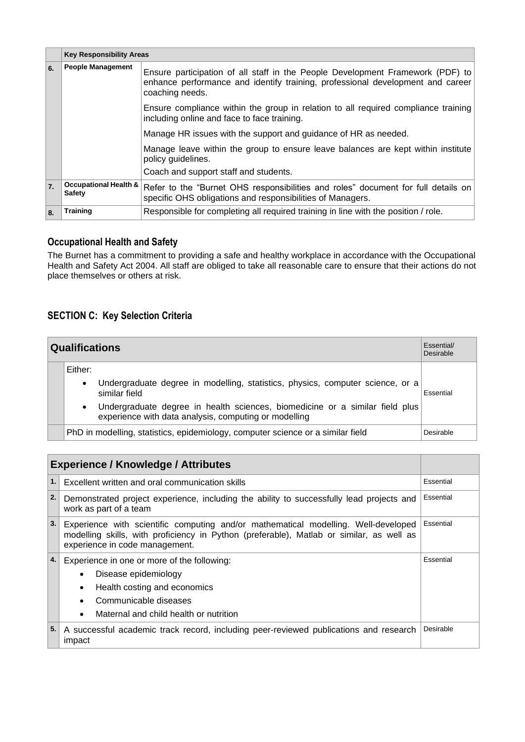|                  | <b>Key Responsibility Areas</b>                   |                                                                                                                                                                                     |
|------------------|---------------------------------------------------|-------------------------------------------------------------------------------------------------------------------------------------------------------------------------------------|
| 6.               | <b>People Management</b>                          | Ensure participation of all staff in the People Development Framework (PDF) to<br>enhance performance and identify training, professional development and career<br>coaching needs. |
|                  |                                                   | Ensure compliance within the group in relation to all required compliance training<br>including online and face to face training.                                                   |
|                  |                                                   | Manage HR issues with the support and guidance of HR as needed.                                                                                                                     |
|                  |                                                   | Manage leave within the group to ensure leave balances are kept within institute<br>policy guidelines.                                                                              |
|                  |                                                   | Coach and support staff and students.                                                                                                                                               |
| $\overline{7}$ . | <b>Occupational Health &amp;</b><br><b>Safety</b> | Refer to the "Burnet OHS responsibilities and roles" document for full details on<br>specific OHS obligations and responsibilities of Managers.                                     |
| 8.               | <b>Training</b>                                   | Responsible for completing all required training in line with the position / role.                                                                                                  |

## **Occupational Health and Safety**

The Burnet has a commitment to providing a safe and healthy workplace in accordance with the Occupational Health and Safety Act 2004. All staff are obliged to take all reasonable care to ensure that their actions do not place themselves or others at risk.

# **SECTION C: Key Selection Criteria**

| <b>Qualifications</b> |           | Essential/<br><b>Desirable</b>                                                                                                        |           |
|-----------------------|-----------|---------------------------------------------------------------------------------------------------------------------------------------|-----------|
|                       | Either:   |                                                                                                                                       |           |
|                       | $\bullet$ | Undergraduate degree in modelling, statistics, physics, computer science, or a<br>similar field                                       | Essential |
|                       | $\bullet$ | Undergraduate degree in health sciences, biomedicine or a similar field plus<br>experience with data analysis, computing or modelling |           |
|                       |           | PhD in modelling, statistics, epidemiology, computer science or a similar field                                                       | Desirable |

|                                                                                                                                                                                                                        | <b>Experience / Knowledge / Attributes</b>                                                                         |           |
|------------------------------------------------------------------------------------------------------------------------------------------------------------------------------------------------------------------------|--------------------------------------------------------------------------------------------------------------------|-----------|
| 1.                                                                                                                                                                                                                     | Excellent written and oral communication skills                                                                    | Essential |
| 2.                                                                                                                                                                                                                     | Demonstrated project experience, including the ability to successfully lead projects and<br>work as part of a team | Essential |
| 3.<br>Experience with scientific computing and/or mathematical modelling. Well-developed<br>modelling skills, with proficiency in Python (preferable), Matlab or similar, as well as<br>experience in code management. |                                                                                                                    | Essential |
| 4.                                                                                                                                                                                                                     | Experience in one or more of the following:                                                                        |           |
|                                                                                                                                                                                                                        | Disease epidemiology                                                                                               |           |
|                                                                                                                                                                                                                        | Health costing and economics<br>$\bullet$                                                                          |           |
|                                                                                                                                                                                                                        | Communicable diseases                                                                                              |           |
|                                                                                                                                                                                                                        | Maternal and child health or nutrition<br>$\bullet$                                                                |           |
| 5.                                                                                                                                                                                                                     | A successful academic track record, including peer-reviewed publications and research<br>impact                    | Desirable |